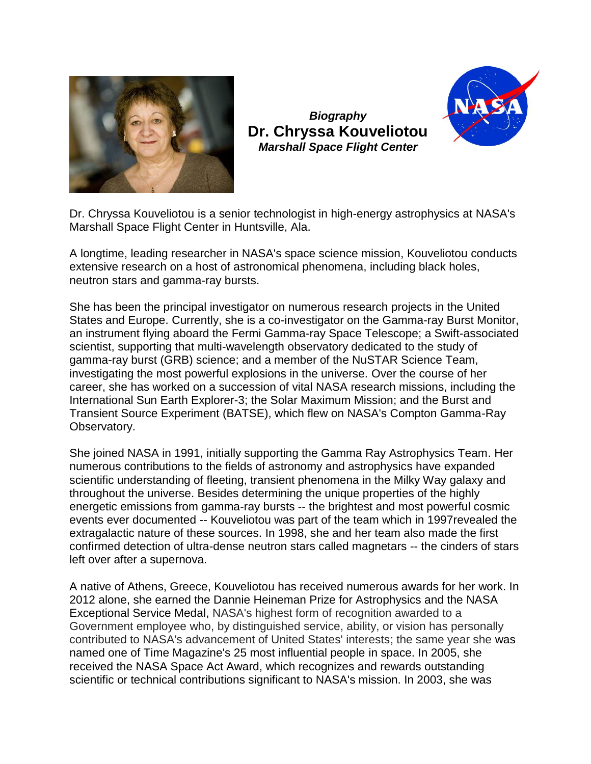

*Biography* **Dr. Chryssa Kouveliotou** *Marshall Space Flight Center*



Dr. Chryssa Kouveliotou is a senior technologist in high-energy astrophysics at NASA's Marshall Space Flight Center in Huntsville, Ala.

A longtime, leading researcher in NASA's space science mission, Kouveliotou conducts extensive research on a host of astronomical phenomena, including black holes, neutron stars and gamma-ray bursts.

She has been the principal investigator on numerous research projects in the United States and Europe. Currently, she is a co-investigator on the Gamma-ray Burst Monitor, an instrument flying aboard the Fermi Gamma-ray Space Telescope; a Swift-associated scientist, supporting that multi-wavelength observatory dedicated to the study of gamma-ray burst (GRB) science; and a member of the NuSTAR Science Team, investigating the most powerful explosions in the universe. Over the course of her career, she has worked on a succession of vital NASA research missions, including the International Sun Earth Explorer-3; the Solar Maximum Mission; and the Burst and Transient Source Experiment (BATSE), which flew on NASA's Compton Gamma-Ray Observatory.

She joined NASA in 1991, initially supporting the Gamma Ray Astrophysics Team. Her numerous contributions to the fields of astronomy and astrophysics have expanded scientific understanding of fleeting, transient phenomena in the Milky Way galaxy and throughout the universe. Besides determining the unique properties of the highly energetic emissions from gamma-ray bursts -- the brightest and most powerful cosmic events ever documented -- Kouveliotou was part of the team which in 1997revealed the extragalactic nature of these sources. In 1998, she and her team also made the first confirmed detection of ultra-dense neutron stars called magnetars -- the cinders of stars left over after a supernova.

A native of Athens, Greece, Kouveliotou has received numerous awards for her work. In 2012 alone, she earned the Dannie Heineman Prize for Astrophysics and the NASA Exceptional Service Medal, NASA's highest form of recognition awarded to a Government employee who, by distinguished service, ability, or vision has personally contributed to NASA's advancement of United States' interests; the same year she was named one of Time Magazine's 25 most influential people in space. In 2005, she received the NASA Space Act Award, which recognizes and rewards outstanding scientific or technical contributions significant to NASA's mission. In 2003, she was